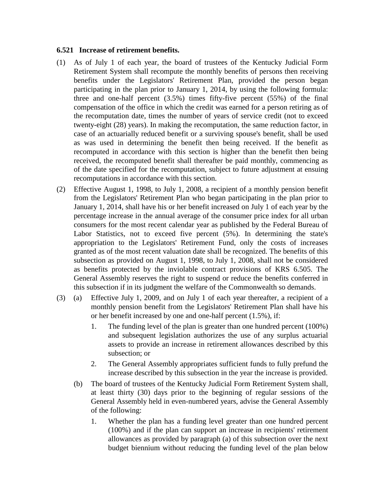## **6.521 Increase of retirement benefits.**

- (1) As of July 1 of each year, the board of trustees of the Kentucky Judicial Form Retirement System shall recompute the monthly benefits of persons then receiving benefits under the Legislators' Retirement Plan, provided the person began participating in the plan prior to January 1, 2014, by using the following formula: three and one-half percent (3.5%) times fifty-five percent (55%) of the final compensation of the office in which the credit was earned for a person retiring as of the recomputation date, times the number of years of service credit (not to exceed twenty-eight (28) years). In making the recomputation, the same reduction factor, in case of an actuarially reduced benefit or a surviving spouse's benefit, shall be used as was used in determining the benefit then being received. If the benefit as recomputed in accordance with this section is higher than the benefit then being received, the recomputed benefit shall thereafter be paid monthly, commencing as of the date specified for the recomputation, subject to future adjustment at ensuing recomputations in accordance with this section.
- (2) Effective August 1, 1998, to July 1, 2008, a recipient of a monthly pension benefit from the Legislators' Retirement Plan who began participating in the plan prior to January 1, 2014, shall have his or her benefit increased on July 1 of each year by the percentage increase in the annual average of the consumer price index for all urban consumers for the most recent calendar year as published by the Federal Bureau of Labor Statistics, not to exceed five percent (5%). In determining the state's appropriation to the Legislators' Retirement Fund, only the costs of increases granted as of the most recent valuation date shall be recognized. The benefits of this subsection as provided on August 1, 1998, to July 1, 2008, shall not be considered as benefits protected by the inviolable contract provisions of KRS 6.505. The General Assembly reserves the right to suspend or reduce the benefits conferred in this subsection if in its judgment the welfare of the Commonwealth so demands.
- (3) (a) Effective July 1, 2009, and on July 1 of each year thereafter, a recipient of a monthly pension benefit from the Legislators' Retirement Plan shall have his or her benefit increased by one and one-half percent (1.5%), if:
	- 1. The funding level of the plan is greater than one hundred percent (100%) and subsequent legislation authorizes the use of any surplus actuarial assets to provide an increase in retirement allowances described by this subsection; or
	- 2. The General Assembly appropriates sufficient funds to fully prefund the increase described by this subsection in the year the increase is provided.
	- (b) The board of trustees of the Kentucky Judicial Form Retirement System shall, at least thirty (30) days prior to the beginning of regular sessions of the General Assembly held in even-numbered years, advise the General Assembly of the following:
		- 1. Whether the plan has a funding level greater than one hundred percent (100%) and if the plan can support an increase in recipients' retirement allowances as provided by paragraph (a) of this subsection over the next budget biennium without reducing the funding level of the plan below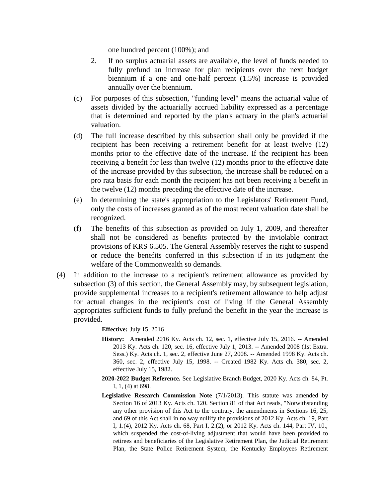one hundred percent (100%); and

- 2. If no surplus actuarial assets are available, the level of funds needed to fully prefund an increase for plan recipients over the next budget biennium if a one and one-half percent (1.5%) increase is provided annually over the biennium.
- (c) For purposes of this subsection, "funding level" means the actuarial value of assets divided by the actuarially accrued liability expressed as a percentage that is determined and reported by the plan's actuary in the plan's actuarial valuation.
- (d) The full increase described by this subsection shall only be provided if the recipient has been receiving a retirement benefit for at least twelve (12) months prior to the effective date of the increase. If the recipient has been receiving a benefit for less than twelve (12) months prior to the effective date of the increase provided by this subsection, the increase shall be reduced on a pro rata basis for each month the recipient has not been receiving a benefit in the twelve (12) months preceding the effective date of the increase.
- (e) In determining the state's appropriation to the Legislators' Retirement Fund, only the costs of increases granted as of the most recent valuation date shall be recognized.
- (f) The benefits of this subsection as provided on July 1, 2009, and thereafter shall not be considered as benefits protected by the inviolable contract provisions of KRS 6.505. The General Assembly reserves the right to suspend or reduce the benefits conferred in this subsection if in its judgment the welfare of the Commonwealth so demands.
- (4) In addition to the increase to a recipient's retirement allowance as provided by subsection (3) of this section, the General Assembly may, by subsequent legislation, provide supplemental increases to a recipient's retirement allowance to help adjust for actual changes in the recipient's cost of living if the General Assembly appropriates sufficient funds to fully prefund the benefit in the year the increase is provided.

**Effective:** July 15, 2016

- **History:** Amended 2016 Ky. Acts ch. 12, sec. 1, effective July 15, 2016. -- Amended 2013 Ky. Acts ch. 120, sec. 16, effective July 1, 2013. -- Amended 2008 (1st Extra. Sess.) Ky. Acts ch. 1, sec. 2, effective June 27, 2008. -- Amended 1998 Ky. Acts ch. 360, sec. 2, effective July 15, 1998. -- Created 1982 Ky. Acts ch. 380, sec. 2, effective July 15, 1982.
- **2020-2022 Budget Reference.** See Legislative Branch Budget, 2020 Ky. Acts ch. 84, Pt. I, 1, (4) at 698.
- **Legislative Research Commission Note** (7/1/2013). This statute was amended by Section 16 of 2013 Ky. Acts ch. 120. Section 81 of that Act reads, "Notwithstanding any other provision of this Act to the contrary, the amendments in Sections 16, 25, and 69 of this Act shall in no way nullify the provisions of 2012 Ky. Acts ch. 19, Part I, 1.(4), 2012 Ky. Acts ch. 68, Part I, 2.(2), or 2012 Ky. Acts ch. 144, Part IV, 10., which suspended the cost-of-living adjustment that would have been provided to retirees and beneficiaries of the Legislative Retirement Plan, the Judicial Retirement Plan, the State Police Retirement System, the Kentucky Employees Retirement